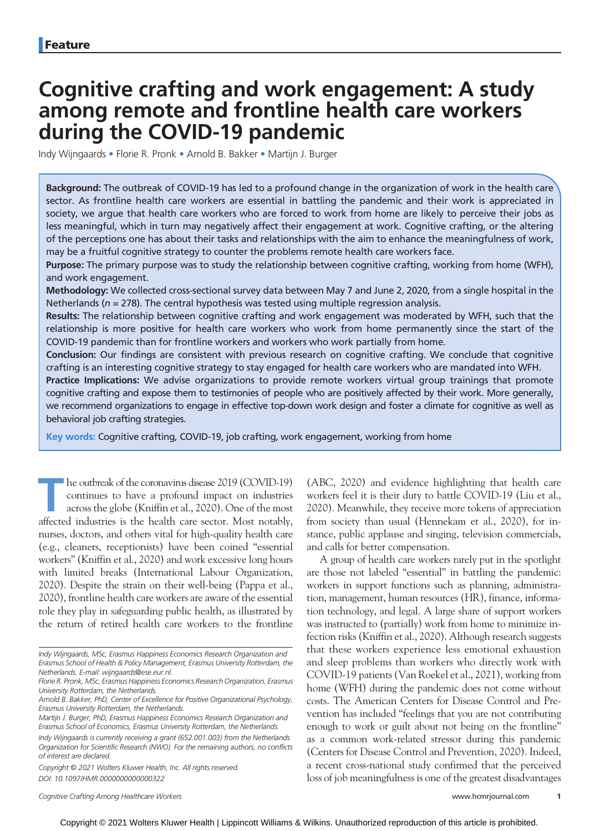# Cognitive crafting and work engagement: A study among remote and frontline health care workers during the COVID-19 pandemic

Indy Wijngaards • Florie R. Pronk • Arnold B. Bakker • Martijn J. Burger

Background: The outbreak of COVID-19 has led to a profound change in the organization of work in the health care sector. As frontline health care workers are essential in battling the pandemic and their work is appreciated in society, we argue that health care workers who are forced to work from home are likely to perceive their jobs as less meaningful, which in turn may negatively affect their engagement at work. Cognitive crafting, or the altering of the perceptions one has about their tasks and relationships with the aim to enhance the meaningfulness of work, may be a fruitful cognitive strategy to counter the problems remote health care workers face.

Purpose: The primary purpose was to study the relationship between cognitive crafting, working from home (WFH), and work engagement.

Methodology: We collected cross-sectional survey data between May 7 and June 2, 2020, from a single hospital in the Netherlands ( $n = 278$ ). The central hypothesis was tested using multiple regression analysis.

Results: The relationship between cognitive crafting and work engagement was moderated by WFH, such that the relationship is more positive for health care workers who work from home permanently since the start of the COVID-19 pandemic than for frontline workers and workers who work partially from home.

Conclusion: Our findings are consistent with previous research on cognitive crafting. We conclude that cognitive crafting is an interesting cognitive strategy to stay engaged for health care workers who are mandated into WFH.

Practice Implications: We advise organizations to provide remote workers virtual group trainings that promote cognitive crafting and expose them to testimonies of people who are positively affected by their work. More generally, we recommend organizations to engage in effective top-down work design and foster a climate for cognitive as well as behavioral job crafting strategies.

Key words: Cognitive crafting, COVID-19, job crafting, work engagement, working from home

he outbreak of the coronavirus disease 2019 (COVID-19) continues to have a profound impact on industries across the globe (Kniffin et al., 2020). One of the most affected industries is the health care sector. Most notably, nurses, doctors, and others vital for high-quality health care (e.g., cleaners, receptionists) have been coined "essential workers" (Kniffin et al., 2020) and work excessive long hours with limited breaks (International Labour Organization, 2020). Despite the strain on their well-being (Pappa et al., 2020), frontline health care workers are aware of the essential role they play in safeguarding public health, as illustrated by the return of retired health care workers to the frontline

Copyright © 2021 Wolters Kluwer Health, Inc. All rights reserved. DOI: 10.1097/HMR.0000000000000322

Cognitive Crafting Among Healthcare Workers [www.hcmrjournal.com](http://www.hcmrjournal.com) 1

(ABC, 2020) and evidence highlighting that health care workers feel it is their duty to battle COVID-19 (Liu et al., 2020). Meanwhile, they receive more tokens of appreciation from society than usual (Hennekam et al., 2020), for instance, public applause and singing, television commercials, and calls for better compensation.

A group of health care workers rarely put in the spotlight are those not labeled "essential" in battling the pandemic: workers in support functions such as planning, administration, management, human resources (HR), finance, information technology, and legal. A large share of support workers was instructed to (partially) work from home to minimize infection risks (Kniffin et al., 2020). Although research suggests that these workers experience less emotional exhaustion and sleep problems than workers who directly work with COVID-19 patients (Van Roekel et al., 2021), working from home (WFH) during the pandemic does not come without costs. The American Centers for Disease Control and Prevention has included "feelings that you are not contributing enough to work or guilt about not being on the frontline" as a common work-related stressor during this pandemic (Centers for Disease Control and Prevention, 2020). Indeed, a recent cross-national study confirmed that the perceived loss of job meaningfulness is one of the greatest disadvantages

Indy Wijngaards, MSc, Erasmus Happiness Economics Research Organization and Erasmus School of Health & Policy Management, Erasmus University Rotterdam, the Netherlands. E-mail: [wijngaards@ese.eur.nl.](mailto:wijngaards@ese.eur.nl)

Florie R. Pronk, MSc, Erasmus Happiness Economics Research Organization, Erasmus University Rotterdam, the Netherlands.

Arnold B. Bakker, PhD, Center of Excellence for Positive Organizational Psychology, Erasmus University Rotterdam, the Netherlands.

Martijn J. Burger, PhD, Erasmus Happiness Economics Research Organization and Erasmus School of Economics, Erasmus University Rotterdam, the Netherlands.

Indy Wijngaards is currently receiving a grant (652.001.003) from the Netherlands Organization for Scientific Research (NWO). For the remaining authors, no conflicts of interest are declared.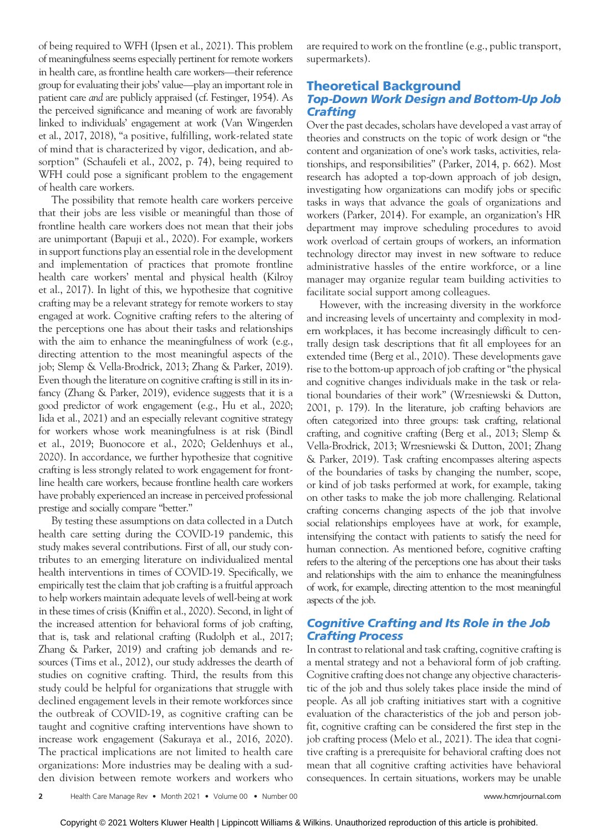of being required to WFH (Ipsen et al., 2021). This problem of meaningfulness seems especially pertinent for remote workers in health care, as frontline health care workers—their reference group for evaluating their jobs' value—play an important role in patient care and are publicly appraised (cf. Festinger, 1954). As the perceived significance and meaning of work are favorably linked to individuals' engagement at work (Van Wingerden et al., 2017, 2018), "a positive, fulfilling, work-related state of mind that is characterized by vigor, dedication, and absorption" (Schaufeli et al., 2002, p. 74), being required to WFH could pose a significant problem to the engagement of health care workers.

The possibility that remote health care workers perceive that their jobs are less visible or meaningful than those of frontline health care workers does not mean that their jobs are unimportant (Bapuji et al., 2020). For example, workers in support functions play an essential role in the development and implementation of practices that promote frontline health care workers' mental and physical health (Kilroy et al., 2017). In light of this, we hypothesize that cognitive crafting may be a relevant strategy for remote workers to stay engaged at work. Cognitive crafting refers to the altering of the perceptions one has about their tasks and relationships with the aim to enhance the meaningfulness of work (e.g., directing attention to the most meaningful aspects of the job; Slemp & Vella-Brodrick, 2013; Zhang & Parker, 2019). Even though the literature on cognitive crafting is still in its infancy (Zhang & Parker, 2019), evidence suggests that it is a good predictor of work engagement (e.g., Hu et al., 2020; Iida et al., 2021) and an especially relevant cognitive strategy for workers whose work meaningfulness is at risk (Bindl et al., 2019; Buonocore et al., 2020; Geldenhuys et al., 2020). In accordance, we further hypothesize that cognitive crafting is less strongly related to work engagement for frontline health care workers, because frontline health care workers have probably experienced an increase in perceived professional prestige and socially compare "better."

By testing these assumptions on data collected in a Dutch health care setting during the COVID-19 pandemic, this study makes several contributions. First of all, our study contributes to an emerging literature on individualized mental health interventions in times of COVID-19. Specifically, we empirically test the claim that job crafting is a fruitful approach to help workers maintain adequate levels of well-being at work in these times of crisis (Kniffin et al., 2020). Second, in light of the increased attention for behavioral forms of job crafting, that is, task and relational crafting (Rudolph et al., 2017; Zhang & Parker, 2019) and crafting job demands and resources (Tims et al., 2012), our study addresses the dearth of studies on cognitive crafting. Third, the results from this study could be helpful for organizations that struggle with declined engagement levels in their remote workforces since the outbreak of COVID-19, as cognitive crafting can be taught and cognitive crafting interventions have shown to increase work engagement (Sakuraya et al., 2016, 2020). The practical implications are not limited to health care organizations: More industries may be dealing with a sudden division between remote workers and workers who are required to work on the frontline (e.g., public transport, supermarkets).

# Theoretical Background Top-Down Work Design and Bottom-Up Job **Crafting**

Over the past decades, scholars have developed a vast array of theories and constructs on the topic of work design or "the content and organization of one's work tasks, activities, relationships, and responsibilities" (Parker, 2014, p. 662). Most research has adopted a top-down approach of job design, investigating how organizations can modify jobs or specific tasks in ways that advance the goals of organizations and workers (Parker, 2014). For example, an organization's HR department may improve scheduling procedures to avoid work overload of certain groups of workers, an information technology director may invest in new software to reduce administrative hassles of the entire workforce, or a line manager may organize regular team building activities to facilitate social support among colleagues.

However, with the increasing diversity in the workforce and increasing levels of uncertainty and complexity in modern workplaces, it has become increasingly difficult to centrally design task descriptions that fit all employees for an extended time (Berg et al., 2010). These developments gave rise to the bottom-up approach of job crafting or "the physical and cognitive changes individuals make in the task or relational boundaries of their work" (Wrzesniewski & Dutton, 2001, p. 179). In the literature, job crafting behaviors are often categorized into three groups: task crafting, relational crafting, and cognitive crafting (Berg et al., 2013; Slemp & Vella-Brodrick, 2013; Wrzesniewski & Dutton, 2001; Zhang & Parker, 2019). Task crafting encompasses altering aspects of the boundaries of tasks by changing the number, scope, or kind of job tasks performed at work, for example, taking on other tasks to make the job more challenging. Relational crafting concerns changing aspects of the job that involve social relationships employees have at work, for example, intensifying the contact with patients to satisfy the need for human connection. As mentioned before, cognitive crafting refers to the altering of the perceptions one has about their tasks and relationships with the aim to enhance the meaningfulness of work, for example, directing attention to the most meaningful aspects of the job.

# Cognitive Crafting and Its Role in the Job Crafting Process

In contrast to relational and task crafting, cognitive crafting is a mental strategy and not a behavioral form of job crafting. Cognitive crafting does not change any objective characteristic of the job and thus solely takes place inside the mind of people. As all job crafting initiatives start with a cognitive evaluation of the characteristics of the job and person jobfit, cognitive crafting can be considered the first step in the job crafting process (Melo et al., 2021). The idea that cognitive crafting is a prerequisite for behavioral crafting does not mean that all cognitive crafting activities have behavioral consequences. In certain situations, workers may be unable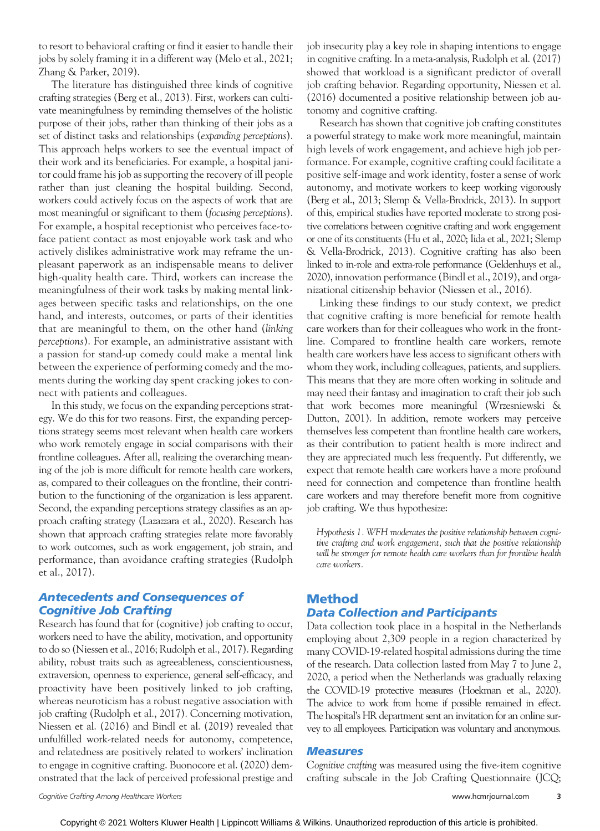to resort to behavioral crafting or find it easier to handle their jobs by solely framing it in a different way (Melo et al., 2021; Zhang & Parker, 2019).

The literature has distinguished three kinds of cognitive crafting strategies (Berg et al., 2013). First, workers can cultivate meaningfulness by reminding themselves of the holistic purpose of their jobs, rather than thinking of their jobs as a set of distinct tasks and relationships (expanding perceptions). This approach helps workers to see the eventual impact of their work and its beneficiaries. For example, a hospital janitor could frame his job as supporting the recovery of ill people rather than just cleaning the hospital building. Second, workers could actively focus on the aspects of work that are most meaningful or significant to them (focusing perceptions). For example, a hospital receptionist who perceives face-toface patient contact as most enjoyable work task and who actively dislikes administrative work may reframe the unpleasant paperwork as an indispensable means to deliver high-quality health care. Third, workers can increase the meaningfulness of their work tasks by making mental linkages between specific tasks and relationships, on the one hand, and interests, outcomes, or parts of their identities that are meaningful to them, on the other hand (linking perceptions). For example, an administrative assistant with a passion for stand-up comedy could make a mental link between the experience of performing comedy and the moments during the working day spent cracking jokes to connect with patients and colleagues.

In this study, we focus on the expanding perceptions strategy. We do this for two reasons. First, the expanding perceptions strategy seems most relevant when health care workers who work remotely engage in social comparisons with their frontline colleagues. After all, realizing the overarching meaning of the job is more difficult for remote health care workers, as, compared to their colleagues on the frontline, their contribution to the functioning of the organization is less apparent. Second, the expanding perceptions strategy classifies as an approach crafting strategy (Lazazzara et al., 2020). Research has shown that approach crafting strategies relate more favorably to work outcomes, such as work engagement, job strain, and performance, than avoidance crafting strategies (Rudolph et al., 2017).

# Antecedents and Consequences of Cognitive Job Crafting

Research has found that for (cognitive) job crafting to occur, workers need to have the ability, motivation, and opportunity to do so (Niessen et al., 2016; Rudolph et al., 2017). Regarding ability, robust traits such as agreeableness, conscientiousness, extraversion, openness to experience, general self-efficacy, and proactivity have been positively linked to job crafting, whereas neuroticism has a robust negative association with job crafting (Rudolph et al., 2017). Concerning motivation, Niessen et al. (2016) and Bindl et al. (2019) revealed that unfulfilled work-related needs for autonomy, competence, and relatedness are positively related to workers' inclination to engage in cognitive crafting. Buonocore et al. (2020) demonstrated that the lack of perceived professional prestige and

job insecurity play a key role in shaping intentions to engage in cognitive crafting. In a meta-analysis, Rudolph et al. (2017) showed that workload is a significant predictor of overall job crafting behavior. Regarding opportunity, Niessen et al. (2016) documented a positive relationship between job autonomy and cognitive crafting.

Research has shown that cognitive job crafting constitutes a powerful strategy to make work more meaningful, maintain high levels of work engagement, and achieve high job performance. For example, cognitive crafting could facilitate a positive self-image and work identity, foster a sense of work autonomy, and motivate workers to keep working vigorously (Berg et al., 2013; Slemp & Vella-Brodrick, 2013). In support of this, empirical studies have reported moderate to strong positive correlations between cognitive crafting and work engagement or one of its constituents (Hu et al., 2020; Iida et al., 2021; Slemp & Vella-Brodrick, 2013). Cognitive crafting has also been linked to in-role and extra-role performance (Geldenhuys et al., 2020), innovation performance (Bindl et al., 2019), and organizational citizenship behavior (Niessen et al., 2016).

Linking these findings to our study context, we predict that cognitive crafting is more beneficial for remote health care workers than for their colleagues who work in the frontline. Compared to frontline health care workers, remote health care workers have less access to significant others with whom they work, including colleagues, patients, and suppliers. This means that they are more often working in solitude and may need their fantasy and imagination to craft their job such that work becomes more meaningful (Wrzesniewski & Dutton, 2001). In addition, remote workers may perceive themselves less competent than frontline health care workers, as their contribution to patient health is more indirect and they are appreciated much less frequently. Put differently, we expect that remote health care workers have a more profound need for connection and competence than frontline health care workers and may therefore benefit more from cognitive job crafting. We thus hypothesize:

Hypothesis 1. WFH moderates the positive relationship between cognitive crafting and work engagement, such that the positive relationship will be stronger for remote health care workers than for frontline health care workers.

# Method Data Collection and Participants

Data collection took place in a hospital in the Netherlands employing about 2,309 people in a region characterized by many COVID-19-related hospital admissions during the time of the research. Data collection lasted from May 7 to June 2, 2020, a period when the Netherlands was gradually relaxing the COVID-19 protective measures (Hoekman et al., 2020). The advice to work from home if possible remained in effect. The hospital's HR department sent an invitation for an online survey to all employees. Participation was voluntary and anonymous.

#### **Measures**

Cognitive crafting was measured using the five-item cognitive crafting subscale in the Job Crafting Questionnaire (JCQ;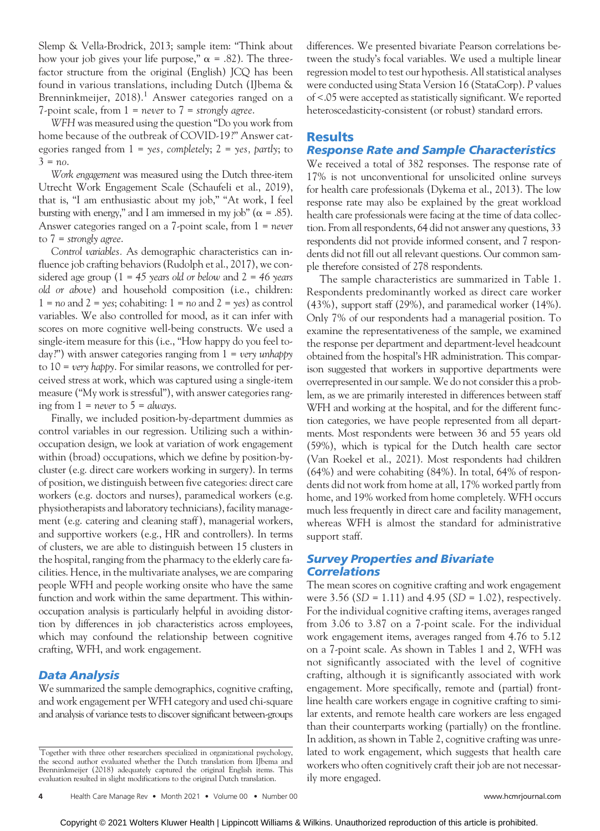Slemp & Vella-Brodrick, 2013; sample item: "Think about how your job gives your life purpose,"  $\alpha$  = .82). The threefactor structure from the original (English) JCQ has been found in various translations, including Dutch (IJbema & Brenninkmeijer,  $2018$ .<sup>1</sup> Answer categories ranged on a 7-point scale, from  $1 =$  never to  $7 =$  strongly agree.

WFH was measured using the question "Do you work from home because of the outbreak of COVID-19?" Answer categories ranged from  $1 = \gamma e s$ , completely;  $2 = \gamma e s$ , partly; to  $3 = no.$ 

Work engagement was measured using the Dutch three-item Utrecht Work Engagement Scale (Schaufeli et al., 2019), that is, "I am enthusiastic about my job," "At work, I feel bursting with energy," and I am immersed in my job" ( $\alpha$  = .85). Answer categories ranged on a 7-point scale, from 1 = never to  $7 =$  strongly agree.

Control variables. As demographic characteristics can influence job crafting behaviors (Rudolph et al., 2017), we considered age group ( $1 = 45$  years old or below and  $2 = 46$  years old or above) and household composition (i.e., children:  $1 = no$  and  $2 = yes$ ; cohabiting:  $1 = no$  and  $2 = yes$ ) as control variables. We also controlled for mood, as it can infer with scores on more cognitive well-being constructs. We used a single-item measure for this (i.e., "How happy do you feel today?") with answer categories ranging from  $1 = \text{very}$  unhappy to  $10 = \text{very happy}$ . For similar reasons, we controlled for perceived stress at work, which was captured using a single-item measure ("My work is stressful"), with answer categories ranging from  $1 =$  never to  $5 =$  always.

Finally, we included position-by-department dummies as control variables in our regression. Utilizing such a withinoccupation design, we look at variation of work engagement within (broad) occupations, which we define by position-bycluster (e.g. direct care workers working in surgery). In terms of position, we distinguish between five categories: direct care workers (e.g. doctors and nurses), paramedical workers (e.g. physiotherapists and laboratory technicians), facility management (e.g. catering and cleaning staff ), managerial workers, and supportive workers (e.g., HR and controllers). In terms of clusters, we are able to distinguish between 15 clusters in the hospital, ranging from the pharmacy to the elderly care facilities. Hence, in the multivariate analyses, we are comparing people WFH and people working onsite who have the same function and work within the same department. This withinoccupation analysis is particularly helpful in avoiding distortion by differences in job characteristics across employees, which may confound the relationship between cognitive crafting, WFH, and work engagement.

#### Data Analysis

We summarized the sample demographics, cognitive crafting, and work engagement per WFH category and used chi-square and analysis of variance tests to discover significant between-groups differences. We presented bivariate Pearson correlations between the study's focal variables. We used a multiple linear regression model to test our hypothesis. All statistical analyses were conducted using Stata Version 16 (StataCorp). P values of <.05 were accepted as statistically significant. We reported heteroscedasticity-consistent (or robust) standard errors.

#### Results

# Response Rate and Sample Characteristics

We received a total of 382 responses. The response rate of 17% is not unconventional for unsolicited online surveys for health care professionals (Dykema et al., 2013). The low response rate may also be explained by the great workload health care professionals were facing at the time of data collection. From all respondents, 64 did not answer any questions, 33 respondents did not provide informed consent, and 7 respondents did not fill out all relevant questions. Our common sample therefore consisted of 278 respondents.

The sample characteristics are summarized in Table 1. Respondents predominantly worked as direct care worker (43%), support staff (29%), and paramedical worker (14%). Only 7% of our respondents had a managerial position. To examine the representativeness of the sample, we examined the response per department and department-level headcount obtained from the hospital's HR administration. This comparison suggested that workers in supportive departments were overrepresented in our sample. We do not consider this a problem, as we are primarily interested in differences between staff WFH and working at the hospital, and for the different function categories, we have people represented from all departments. Most respondents were between 36 and 55 years old (59%), which is typical for the Dutch health care sector (Van Roekel et al., 2021). Most respondents had children (64%) and were cohabiting (84%). In total, 64% of respondents did not work from home at all, 17% worked partly from home, and 19% worked from home completely. WFH occurs much less frequently in direct care and facility management, whereas WFH is almost the standard for administrative support staff.

#### Survey Properties and Bivariate **Correlations**

The mean scores on cognitive crafting and work engagement were 3.56 ( $SD = 1.11$ ) and 4.95 ( $SD = 1.02$ ), respectively. For the individual cognitive crafting items, averages ranged from 3.06 to 3.87 on a 7-point scale. For the individual work engagement items, averages ranged from 4.76 to 5.12 on a 7-point scale. As shown in Tables 1 and 2, WFH was not significantly associated with the level of cognitive crafting, although it is significantly associated with work engagement. More specifically, remote and (partial) frontline health care workers engage in cognitive crafting to similar extents, and remote health care workers are less engaged than their counterparts working (partially) on the frontline. In addition, as shown in Table 2, cognitive crafting was unrelated to work engagement, which suggests that health care workers who often cognitively craft their job are not necessarily more engaged.

<sup>1</sup> Together with three other researchers specialized in organizational psychology, the second author evaluated whether the Dutch translation from IJbema and Brenninkmeijer (2018) adequately captured the original English items. This evaluation resulted in slight modifications to the original Dutch translation.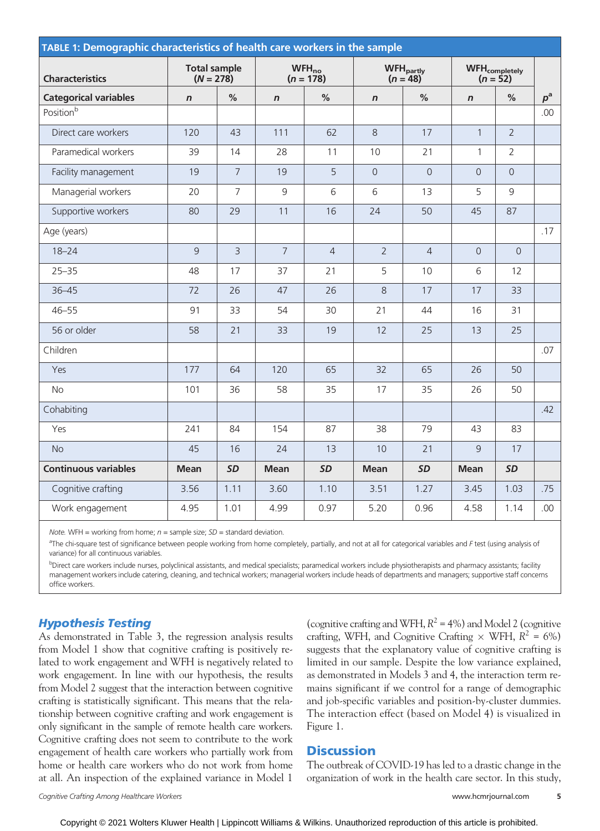| TABLE 1: Demographic characteristics of health care workers in the sample |                                    |                |                           |                |                                            |                |                                     |                |             |
|---------------------------------------------------------------------------|------------------------------------|----------------|---------------------------|----------------|--------------------------------------------|----------------|-------------------------------------|----------------|-------------|
| <b>Characteristics</b>                                                    | <b>Total sample</b><br>$(N = 278)$ |                | $WFH_{no}$<br>$(n = 178)$ |                | <b>WFH</b> <sub>partly</sub><br>$(n = 48)$ |                | <b>WFH</b> completely<br>$(n = 52)$ |                |             |
| <b>Categorical variables</b>                                              | $\mathsf{n}$                       | $\%$           | $\boldsymbol{n}$          | $\%$           | $\boldsymbol{n}$                           | $\%$           | $\boldsymbol{n}$                    | $\%$           | $p^{\rm a}$ |
| Positionb                                                                 |                                    |                |                           |                |                                            |                |                                     |                | .00         |
| Direct care workers                                                       | 120                                | 43             | 111                       | 62             | 8                                          | 17             | $\mathbf{1}$                        | $\overline{2}$ |             |
| Paramedical workers                                                       | 39                                 | 14             | 28                        | 11             | 10                                         | 21             | $\mathbf{1}$                        | $\overline{2}$ |             |
| Facility management                                                       | 19                                 | $\overline{7}$ | 19                        | 5              | $\Omega$                                   | $\Omega$       | $\Omega$                            | $\overline{0}$ |             |
| Managerial workers                                                        | 20                                 | $\overline{7}$ | 9                         | 6              | 6                                          | 13             | 5                                   | 9              |             |
| Supportive workers                                                        | 80                                 | 29             | 11                        | 16             | 24                                         | 50             | 45                                  | 87             |             |
| Age (years)                                                               |                                    |                |                           |                |                                            |                |                                     |                | .17         |
| $18 - 24$                                                                 | $\mathsf{Q}$                       | $\overline{3}$ | $\overline{7}$            | $\overline{4}$ | $\overline{2}$                             | $\overline{4}$ | $\overline{0}$                      | $\overline{0}$ |             |
| $25 - 35$                                                                 | 48                                 | 17             | 37                        | 21             | 5                                          | 10             | 6                                   | 12             |             |
| $36 - 45$                                                                 | 72                                 | 26             | 47                        | 26             | 8                                          | 17             | 17                                  | 33             |             |
| $46 - 55$                                                                 | 91                                 | 33             | 54                        | 30             | 21                                         | 44             | 16                                  | 31             |             |
| 56 or older                                                               | 58                                 | 21             | 33                        | 19             | 12                                         | 25             | 13                                  | 25             |             |
| Children                                                                  |                                    |                |                           |                |                                            |                |                                     |                | .07         |
| Yes                                                                       | 177                                | 64             | 120                       | 65             | 32                                         | 65             | 26                                  | 50             |             |
| <b>No</b>                                                                 | 101                                | 36             | 58                        | 35             | 17                                         | 35             | 26                                  | 50             |             |
| Cohabiting                                                                |                                    |                |                           |                |                                            |                |                                     |                | .42         |
| Yes                                                                       | 241                                | 84             | 154                       | 87             | 38                                         | 79             | 43                                  | 83             |             |
| <b>No</b>                                                                 | 45                                 | 16             | 24                        | 13             | 10                                         | 21             | 9                                   | 17             |             |
| <b>Continuous variables</b>                                               | <b>Mean</b>                        | <b>SD</b>      | <b>Mean</b>               | <b>SD</b>      | <b>Mean</b>                                | <b>SD</b>      | <b>Mean</b>                         | <b>SD</b>      |             |
| Cognitive crafting                                                        | 3.56                               | 1.11           | 3.60                      | 1.10           | 3.51                                       | 1.27           | 3.45                                | 1.03           | .75         |
| Work engagement                                                           | 4.95                               | 1.01           | 4.99                      | 0.97           | 5.20                                       | 0.96           | 4.58                                | 1.14           | .00         |

Note. WFH = working from home;  $n =$  sample size;  $SD =$  standard deviation.

<sup>a</sup>The chi-square test of significance between people working from home completely, partially, and not at all for categorical variables and F test (using analysis of variance) for all continuous variables.

bDirect care workers include nurses, polyclinical assistants, and medical specialists; paramedical workers include physiotherapists and pharmacy assistants; facility management workers include catering, cleaning, and technical workers; managerial workers include heads of departments and managers; supportive staff concerns office workers.

# Hypothesis Testing

As demonstrated in Table 3, the regression analysis results from Model 1 show that cognitive crafting is positively related to work engagement and WFH is negatively related to work engagement. In line with our hypothesis, the results from Model 2 suggest that the interaction between cognitive crafting is statistically significant. This means that the relationship between cognitive crafting and work engagement is only significant in the sample of remote health care workers. Cognitive crafting does not seem to contribute to the work engagement of health care workers who partially work from home or health care workers who do not work from home at all. An inspection of the explained variance in Model 1

(cognitive crafting and WFH,  $R^2 = 4\%$ ) and Model 2 (cognitive crafting, WFH, and Cognitive Crafting  $\times$  WFH,  $R^2 = 6\%)$ suggests that the explanatory value of cognitive crafting is limited in our sample. Despite the low variance explained, as demonstrated in Models 3 and 4, the interaction term remains significant if we control for a range of demographic and job-specific variables and position-by-cluster dummies. The interaction effect (based on Model 4) is visualized in Figure 1.

# **Discussion**

The outbreak of COVID-19 has led to a drastic change in the organization of work in the health care sector. In this study,

Copyright © 2021 Wolters Kluwer Health | Lippincott Williams & Wilkins. Unauthorized reproduction of this article is prohibited.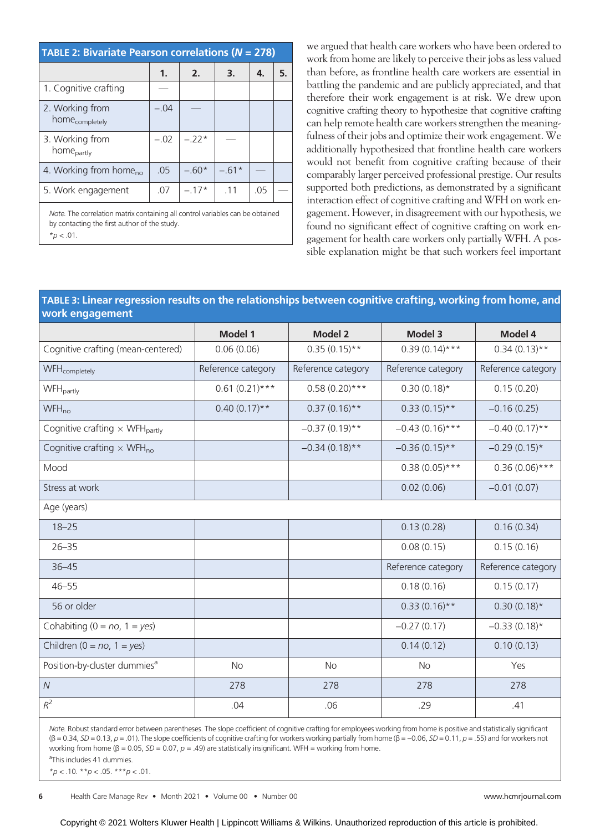| <b>TABLE 2: Bivariate Pearson correlations (<math>N = 278</math>)</b>                                                                           |        |         |         |     |    |  |
|-------------------------------------------------------------------------------------------------------------------------------------------------|--------|---------|---------|-----|----|--|
|                                                                                                                                                 | 1.     | 2.      | 3.      | 4.  | 5. |  |
| 1. Cognitive crafting                                                                                                                           |        |         |         |     |    |  |
| 2. Working from<br>home <sub>completely</sub>                                                                                                   | $-.04$ |         |         |     |    |  |
| 3. Working from<br>home <sub>partly</sub>                                                                                                       | $-.02$ | $-.22*$ |         |     |    |  |
| 4. Working from home <sub>no</sub>                                                                                                              | .05    | $-.60*$ | $-.61*$ |     |    |  |
| 5. Work engagement                                                                                                                              | .07    | $-.17*$ | 11      | .05 |    |  |
| Note. The correlation matrix containing all control variables can be obtained<br>by contacting the first author of the study.<br>$*_{D}$ < .01. |        |         |         |     |    |  |

we argued that health care workers who have been ordered to work from home are likely to perceive their jobs as less valued than before, as frontline health care workers are essential in battling the pandemic and are publicly appreciated, and that therefore their work engagement is at risk. We drew upon cognitive crafting theory to hypothesize that cognitive crafting can help remote health care workers strengthen the meaningfulness of their jobs and optimize their work engagement. We additionally hypothesized that frontline health care workers would not benefit from cognitive crafting because of their comparably larger perceived professional prestige. Our results supported both predictions, as demonstrated by a significant interaction effect of cognitive crafting and WFH on work engagement. However, in disagreement with our hypothesis, we found no significant effect of cognitive crafting on work engagement for health care workers only partially WFH. A possible explanation might be that such workers feel important

#### TABLE 3: Linear regression results on the relationships between cognitive crafting, working from home, and work engagement

|                                                   | <b>Model 1</b>     | <b>Model 2</b>     | Model 3            | Model 4            |
|---------------------------------------------------|--------------------|--------------------|--------------------|--------------------|
| Cognitive crafting (mean-centered)                | 0.06(0.06)         | $0.35(0.15)$ **    | $0.39(0.14)***$    | $0.34(0.13)$ **    |
| WFH <sub>completely</sub>                         | Reference category | Reference category | Reference category | Reference category |
| WFH <sub>partly</sub>                             | $0.61(0.21)***$    | $0.58(0.20)$ ***   | $0.30(0.18)$ *     | 0.15(0.20)         |
| $WFH_{no}$                                        | $0.40(0.17)$ **    | $0.37(0.16)$ **    | $0.33(0.15)**$     | $-0.16(0.25)$      |
| Cognitive crafting $\times$ WFH <sub>partly</sub> |                    | $-0.37(0.19)$ **   | $-0.43(0.16)***$   | $-0.40(0.17)$ **   |
| Cognitive crafting $\times$ WFH <sub>no</sub>     |                    | $-0.34(0.18)$ **   | $-0.36(0.15)$ **   | $-0.29(0.15)$ *    |
| Mood                                              |                    |                    | $0.38(0.05)***$    | $0.36(0.06)***$    |
| Stress at work                                    |                    |                    | 0.02(0.06)         | $-0.01(0.07)$      |
| Age (years)                                       |                    |                    |                    |                    |
| $18 - 25$                                         |                    |                    | 0.13(0.28)         | 0.16(0.34)         |
| $26 - 35$                                         |                    |                    | 0.08(0.15)         | 0.15(0.16)         |
| $36 - 45$                                         |                    |                    | Reference category | Reference category |
| $46 - 55$                                         |                    |                    | 0.18(0.16)         | 0.15(0.17)         |
| 56 or older                                       |                    |                    | $0.33(0.16)$ **    | $0.30(0.18)$ *     |
| Cohabiting ( $0 = no$ , $1 = yes$ )               |                    |                    | $-0.27(0.17)$      | $-0.33(0.18)$ *    |
| Children ( $0 = no$ , $1 = yes$ )                 |                    |                    | 0.14(0.12)         | 0.10(0.13)         |
| Position-by-cluster dummies <sup>a</sup>          | <b>No</b>          | <b>No</b>          | <b>No</b>          | Yes                |
| ${\cal N}$                                        | 278                | 278                | 278                | 278                |
| $R^2$                                             | .04                | .06                | .29                | .41                |

Note. Robust standard error between parentheses. The slope coefficient of cognitive crafting for employees working from home is positive and statistically significant  $(\beta = 0.34, SD = 0.13, p = .01)$ . The slope coefficients of cognitive crafting for workers working partially from home  $(\beta = -0.06, SD = 0.11, p = .55)$  and for workers not working from home ( $\beta = 0.05$ ,  $SD = 0.07$ ,  $p = .49$ ) are statistically insignificant. WFH = working from home. a This includes 41 dummies.

 $**p* < .10.$   $**p* < .05.$   $**p* < .01.$ 

6 Health Care Manage Rev • Month 2021 • Volume 00 • Number 00 www.hcm income www.hcm rjournal.com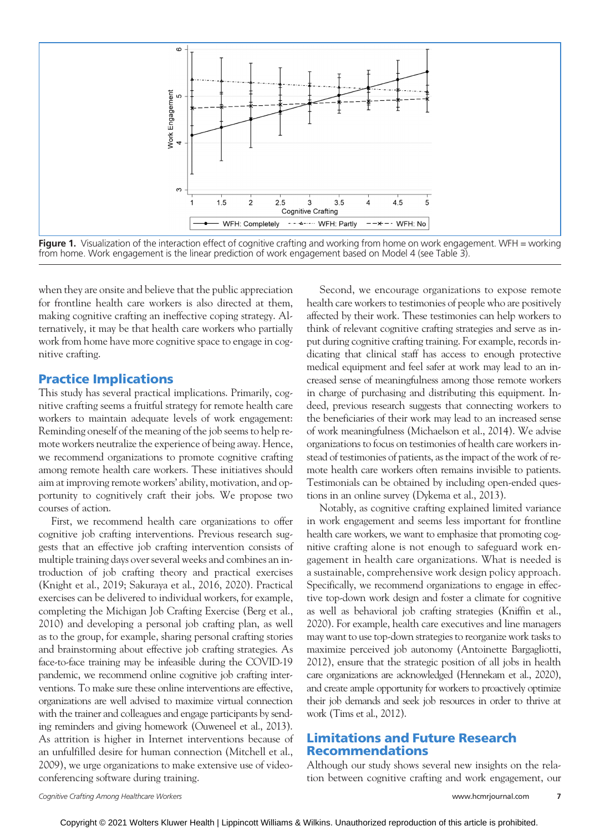

Figure 1. Visualization of the interaction effect of cognitive crafting and working from home on work engagement. WFH = working from home. Work engagement is the linear prediction of work engagement based on Model 4 (see Table 3).

when they are onsite and believe that the public appreciation for frontline health care workers is also directed at them, making cognitive crafting an ineffective coping strategy. Alternatively, it may be that health care workers who partially work from home have more cognitive space to engage in cognitive crafting.

#### Practice Implications

This study has several practical implications. Primarily, cognitive crafting seems a fruitful strategy for remote health care workers to maintain adequate levels of work engagement: Reminding oneself of the meaning of the job seems to help remote workers neutralize the experience of being away. Hence, we recommend organizations to promote cognitive crafting among remote health care workers. These initiatives should aim at improving remote workers' ability, motivation, and opportunity to cognitively craft their jobs. We propose two courses of action.

First, we recommend health care organizations to offer cognitive job crafting interventions. Previous research suggests that an effective job crafting intervention consists of multiple training days over several weeks and combines an introduction of job crafting theory and practical exercises (Knight et al., 2019; Sakuraya et al., 2016, 2020). Practical exercises can be delivered to individual workers, for example, completing the Michigan Job Crafting Exercise (Berg et al., 2010) and developing a personal job crafting plan, as well as to the group, for example, sharing personal crafting stories and brainstorming about effective job crafting strategies. As face-to-face training may be infeasible during the COVID-19 pandemic, we recommend online cognitive job crafting interventions. To make sure these online interventions are effective, organizations are well advised to maximize virtual connection with the trainer and colleagues and engage participants by sending reminders and giving homework (Ouweneel et al., 2013). As attrition is higher in Internet interventions because of an unfulfilled desire for human connection (Mitchell et al., 2009), we urge organizations to make extensive use of videoconferencing software during training.

Second, we encourage organizations to expose remote health care workers to testimonies of people who are positively affected by their work. These testimonies can help workers to think of relevant cognitive crafting strategies and serve as input during cognitive crafting training. For example, records indicating that clinical staff has access to enough protective medical equipment and feel safer at work may lead to an increased sense of meaningfulness among those remote workers in charge of purchasing and distributing this equipment. Indeed, previous research suggests that connecting workers to the beneficiaries of their work may lead to an increased sense of work meaningfulness (Michaelson et al., 2014). We advise organizations to focus on testimonies of health care workers instead of testimonies of patients, as the impact of the work of remote health care workers often remains invisible to patients. Testimonials can be obtained by including open-ended questions in an online survey (Dykema et al., 2013).

Notably, as cognitive crafting explained limited variance in work engagement and seems less important for frontline health care workers, we want to emphasize that promoting cognitive crafting alone is not enough to safeguard work engagement in health care organizations. What is needed is a sustainable, comprehensive work design policy approach. Specifically, we recommend organizations to engage in effective top-down work design and foster a climate for cognitive as well as behavioral job crafting strategies (Kniffin et al., 2020). For example, health care executives and line managers may want to use top-down strategies to reorganize work tasks to maximize perceived job autonomy (Antoinette Bargagliotti, 2012), ensure that the strategic position of all jobs in health care organizations are acknowledged (Hennekam et al., 2020), and create ample opportunity for workers to proactively optimize their job demands and seek job resources in order to thrive at work (Tims et al., 2012).

# Limitations and Future Research Recommendations

Although our study shows several new insights on the relation between cognitive crafting and work engagement, our

Cognitive Crafting Among Healthcare Workers [www.hcmrjournal.com](http://www.hcmrjournal.com) 7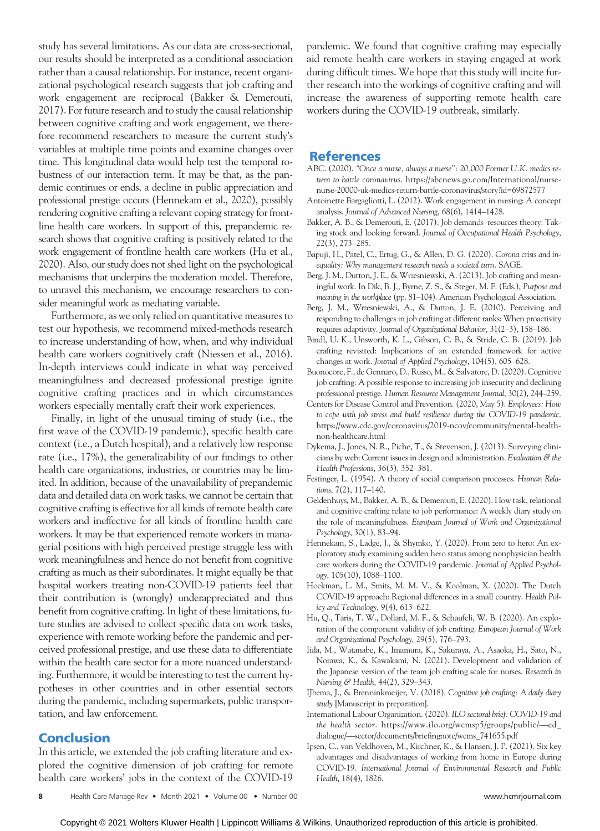study has several limitations. As our data are cross-sectional, our results should be interpreted as a conditional association rather than a causal relationship. For instance, recent organizational psychological research suggests that job crafting and work engagement are reciprocal (Bakker & Demerouti, 2017). For future research and to study the causal relationship between cognitive crafting and work engagement, we therefore recommend researchers to measure the current study's variables at multiple time points and examine changes over time. This longitudinal data would help test the temporal robustness of our interaction term. It may be that, as the pandemic continues or ends, a decline in public appreciation and professional prestige occurs (Hennekam et al., 2020), possibly rendering cognitive crafting a relevant coping strategy for frontline health care workers. In support of this, prepandemic research shows that cognitive crafting is positively related to the work engagement of frontline health care workers (Hu et al., 2020). Also, our study does not shed light on the psychological mechanisms that underpins the moderation model. Therefore, to unravel this mechanism, we encourage researchers to consider meaningful work as mediating variable.

Furthermore, as we only relied on quantitative measures to test our hypothesis, we recommend mixed-methods research to increase understanding of how, when, and why individual health care workers cognitively craft (Niessen et al., 2016). In-depth interviews could indicate in what way perceived meaningfulness and decreased professional prestige ignite cognitive crafting practices and in which circumstances workers especially mentally craft their work experiences.

Finally, in light of the unusual timing of study (i.e., the first wave of the COVID-19 pandemic), specific health care context (i.e., a Dutch hospital), and a relatively low response rate (i.e., 17%), the generalizability of our findings to other health care organizations, industries, or countries may be limited. In addition, because of the unavailability of prepandemic data and detailed data on work tasks, we cannot be certain that cognitive crafting is effective for all kinds of remote health care workers and ineffective for all kinds of frontline health care workers. It may be that experienced remote workers in managerial positions with high perceived prestige struggle less with work meaningfulness and hence do not benefit from cognitive crafting as much as their subordinates. It might equally be that hospital workers treating non-COVID-19 patients feel that their contribution is (wrongly) underappreciated and thus benefit from cognitive crafting. In light of these limitations, future studies are advised to collect specific data on work tasks, experience with remote working before the pandemic and perceived professional prestige, and use these data to differentiate within the health care sector for a more nuanced understanding. Furthermore, it would be interesting to test the current hypotheses in other countries and in other essential sectors during the pandemic, including supermarkets, public transportation, and law enforcement.

# **Conclusion**

In this article, we extended the job crafting literature and explored the cognitive dimension of job crafting for remote health care workers' jobs in the context of the COVID-19

pandemic. We found that cognitive crafting may especially aid remote health care workers in staying engaged at work during difficult times. We hope that this study will incite further research into the workings of cognitive crafting and will increase the awareness of supporting remote health care workers during the COVID-19 outbreak, similarly.

#### References

- ABC. (2020). "Once a nurse, always a nurse": 20,000 Former U.K. medics return to battle coronavirus. [https://abcnews.go.com/International/nurse](https://abcnews.go.com/International/nurse-nurse-20000-uk-medics-return-battle-coronavirus/story?id=69872577)[nurse-20000-uk-medics-return-battle-coronavirus/story?id=69872577](https://abcnews.go.com/International/nurse-nurse-20000-uk-medics-return-battle-coronavirus/story?id=69872577)
- Antoinette Bargagliotti, L. (2012). Work engagement in nursing: A concept analysis. Journal of Advanced Nursing, 68(6), 1414–1428.
- Bakker, A. B., & Demerouti, E. (2017). Job demands–resources theory: Taking stock and looking forward. Journal of Occupational Health Psychology, 22(3), 273–285.
- Bapuji, H., Patel, C., Ertug, G., & Allen, D. G. (2020). Corona crisis and inequality: Why management research needs a societal turn. SAGE.
- Berg, J. M., Dutton, J. E., & Wrzesniewski, A. (2013). Job crafting and meaningful work. In Dik, B. J., Byrne, Z. S., & Steger, M. F. (Eds.), Purpose and meaning in the workplace (pp. 81–104). American Psychological Association.
- Berg, J. M., Wrzesniewski, A., & Dutton, J. E. (2010). Perceiving and responding to challenges in job crafting at different ranks: When proactivity requires adaptivity. Journal of Organizational Behavior, 31(2–3), 158–186.
- Bindl, U. K., Unsworth, K. L., Gibson, C. B., & Stride, C. B. (2019). Job crafting revisited: Implications of an extended framework for active changes at work. Journal of Applied Psychology, 104(5), 605–628.
- Buonocore, F., de Gennaro, D., Russo, M., & Salvatore, D. (2020). Cognitive job crafting: A possible response to increasing job insecurity and declining professional prestige. Human Resource Management Journal, 30(2), 244–259.
- Centers for Disease Control and Prevention. (2020, May 5). Employees: How to cope with job stress and build resilience during the COVID-19 pandemic. [https://www.cdc.gov/coronavirus/2019-ncov/community/mental-health](https://www.cdc.gov/coronavirus/2019-ncov/community/mental-health-non-healthcare.html)[non-healthcare.html](https://www.cdc.gov/coronavirus/2019-ncov/community/mental-health-non-healthcare.html)
- Dykema, J., Jones, N. R., Piche, T., & Stevenson, J. (2013). Surveying clinicians by web: Current issues in design and administration. Evaluation & the Health Professions, 36(3), 352–381.
- Festinger, L. (1954). A theory of social comparison processes. Human Relations, 7(2), 117–140.
- Geldenhuys, M., Bakker, A. B., & Demerouti, E. (2020). How task, relational and cognitive crafting relate to job performance: A weekly diary study on the role of meaningfulness. European Journal of Work and Organizational Psychology, 30(1), 83–94.
- Hennekam, S., Ladge, J., & Shymko, Y. (2020). From zero to hero: An exploratory study examining sudden hero status among nonphysician health care workers during the COVID-19 pandemic. Journal of Applied Psychology, 105(10), 1088–1100.
- Hoekman, L. M., Smits, M. M. V., & Koolman, X. (2020). The Dutch COVID-19 approach: Regional differences in a small country. Health Policy and Technology, 9(4), 613–622.
- Hu, Q., Taris, T. W., Dollard, M. F., & Schaufeli, W. B. (2020). An exploration of the component validity of job crafting. European Journal of Work and Organizational Psychology, 29(5), 776–793.
- Iida, M., Watanabe, K., Imamura, K., Sakuraya, A., Asaoka, H., Sato, N., Nozawa, K., & Kawakami, N. (2021). Development and validation of the Japanese version of the team job crafting scale for nurses. Research in Nursing & Health, 44(2), 329–343.
- IJbema, J., & Brenninkmeijer, V. (2018). Cognitive job crafting: A daily diary study [Manuscript in preparation].
- International Labour Organization. (2020). ILO sectoral brief: COVID-19 and the health sector. [https://www.ilo.org/wcmsp5/groups/public/](https://www.ilo.org/wcmsp5/groups/public/---ed_dialogue/---sector/documents/briefingnote/wcms_741655.pdf)—ed\_ dialogue/—[sector/documents/briefingnote/wcms\\_741655.pdf](https://www.ilo.org/wcmsp5/groups/public/---ed_dialogue/---sector/documents/briefingnote/wcms_741655.pdf)
- Ipsen, C., van Veldhoven, M., Kirchner, K., & Hansen, J. P. (2021). Six key advantages and disadvantages of working from home in Europe during COVID-19. International Journal of Environmental Research and Public Health, 18(4), 1826.

Copyright © 2021 Wolters Kluwer Health | Lippincott Williams & Wilkins. Unauthorized reproduction of this article is prohibited.